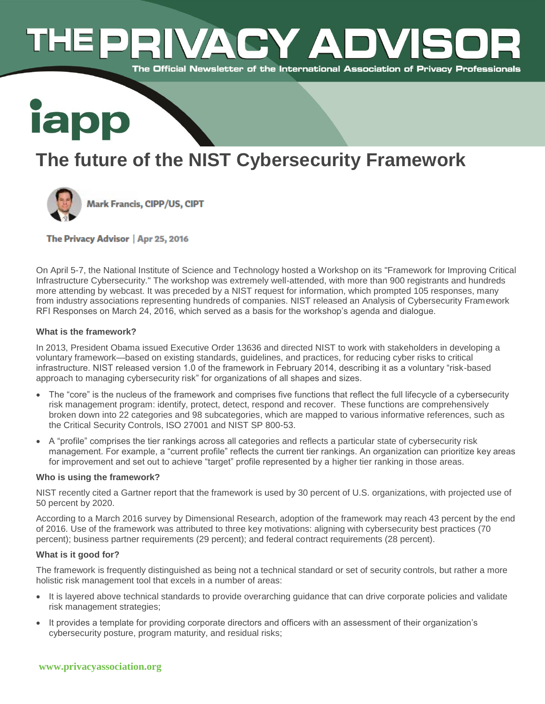# **ACY ADVI**  $\Box$   $\Box$ The Official Newsletter of the International Association of Privacy Professionals



# **The future of the NIST Cybersecurity Framework**



The Privacy Advisor | Apr 25, 2016

On April 5-7, the National Institute of Science and Technology hosted a Workshop on its "Framework for Improving Critical Infrastructure Cybersecurity." The workshop was extremely well-attended, with more than 900 registrants and hundreds more attending by webcast. It was preceded by a NIST request for information, which prompted 105 responses, many from industry associations representing hundreds of companies. NIST released an Analysis of Cybersecurity Framework RFI Responses on March 24, 2016, which served as a basis for the workshop's agenda and dialogue.

# **What is the framework?**

In 2013, President Obama issued Executive Order 13636 and directed NIST to work with stakeholders in developing a voluntary framework—based on existing standards, guidelines, and practices, for reducing cyber risks to critical infrastructure. NIST released version 1.0 of the framework in February 2014, describing it as a voluntary "risk-based approach to managing cybersecurity risk" for organizations of all shapes and sizes.

- The "core" is the nucleus of the framework and comprises five functions that reflect the full lifecycle of a cybersecurity risk management program: identify, protect, detect, respond and recover. These functions are comprehensively broken down into 22 categories and 98 subcategories, which are mapped to various informative references, such as the Critical Security Controls, ISO 27001 and NIST SP 800-53.
- A "profile" comprises the tier rankings across all categories and reflects a particular state of cybersecurity risk management. For example, a "current profile" reflects the current tier rankings. An organization can prioritize key areas for improvement and set out to achieve "target" profile represented by a higher tier ranking in those areas.

# **Who is using the framework?**

NIST recently cited a Gartner report that the framework is used by 30 percent of U.S. organizations, with projected use of 50 percent by 2020.

According to a March 2016 survey by Dimensional Research, adoption of the framework may reach 43 percent by the end of 2016. Use of the framework was attributed to three key motivations: aligning with cybersecurity best practices (70 percent); business partner requirements (29 percent); and federal contract requirements (28 percent).

# **What is it good for?**

The framework is frequently distinguished as being not a technical standard or set of security controls, but rather a more holistic risk management tool that excels in a number of areas:

- It is layered above technical standards to provide overarching guidance that can drive corporate policies and validate risk management strategies;
- It provides a template for providing corporate directors and officers with an assessment of their organization's cybersecurity posture, program maturity, and residual risks;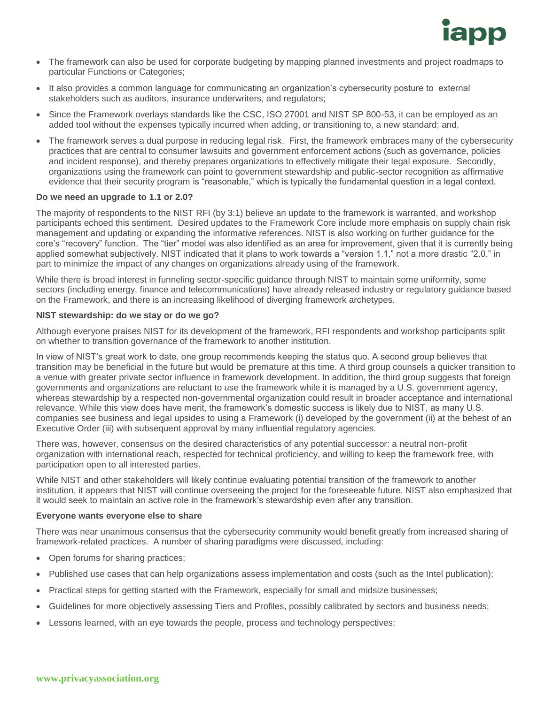

- The framework can also be used for corporate budgeting by mapping planned investments and project roadmaps to particular Functions or Categories;
- It also provides a common language for communicating an organization's cybersecurity posture to external stakeholders such as auditors, insurance underwriters, and regulators;
- Since the Framework overlays standards like the CSC, ISO 27001 and NIST SP 800-53, it can be employed as an added tool without the expenses typically incurred when adding, or transitioning to, a new standard; and,
- The framework serves a dual purpose in reducing legal risk. First, the framework embraces many of the cybersecurity practices that are central to consumer lawsuits and government enforcement actions (such as governance, policies and incident response), and thereby prepares organizations to effectively mitigate their legal exposure. Secondly, organizations using the framework can point to government stewardship and public-sector recognition as affirmative evidence that their security program is "reasonable," which is typically the fundamental question in a legal context.

#### **Do we need an upgrade to 1.1 or 2.0?**

The majority of respondents to the NIST RFI (by 3:1) believe an update to the framework is warranted, and workshop participants echoed this sentiment. Desired updates to the Framework Core include more emphasis on supply chain risk management and updating or expanding the informative references. NIST is also working on further guidance for the core's "recovery" function. The "tier" model was also identified as an area for improvement, given that it is currently being applied somewhat subjectively. NIST indicated that it plans to work towards a "version 1.1," not a more drastic "2.0," in part to minimize the impact of any changes on organizations already using of the framework.

While there is broad interest in funneling sector-specific guidance through NIST to maintain some uniformity, some sectors (including energy, finance and telecommunications) have already released industry or regulatory guidance based on the Framework, and there is an increasing likelihood of diverging framework archetypes.

#### **NIST stewardship: do we stay or do we go?**

Although everyone praises NIST for its development of the framework, RFI respondents and workshop participants split on whether to transition governance of the framework to another institution.

In view of NIST's great work to date, one group recommends keeping the status quo. A second group believes that transition may be beneficial in the future but would be premature at this time. A third group counsels a quicker transition to a venue with greater private sector influence in framework development. In addition, the third group suggests that foreign governments and organizations are reluctant to use the framework while it is managed by a U.S. government agency, whereas stewardship by a respected non-governmental organization could result in broader acceptance and international relevance. While this view does have merit, the framework's domestic success is likely due to NIST, as many U.S. companies see business and legal upsides to using a Framework (i) developed by the government (ii) at the behest of an Executive Order (iii) with subsequent approval by many influential regulatory agencies.

There was, however, consensus on the desired characteristics of any potential successor: a neutral non-profit organization with international reach, respected for technical proficiency, and willing to keep the framework free, with participation open to all interested parties.

While NIST and other stakeholders will likely continue evaluating potential transition of the framework to another institution, it appears that NIST will continue overseeing the project for the foreseeable future. NIST also emphasized that it would seek to maintain an active role in the framework's stewardship even after any transition.

#### **Everyone wants everyone else to share**

There was near unanimous consensus that the cybersecurity community would benefit greatly from increased sharing of framework-related practices. A number of sharing paradigms were discussed, including:

- Open forums for sharing practices;
- Published use cases that can help organizations assess implementation and costs (such as the Intel publication);
- Practical steps for getting started with the Framework, especially for small and midsize businesses;
- Guidelines for more objectively assessing Tiers and Profiles, possibly calibrated by sectors and business needs;
- Lessons learned, with an eye towards the people, process and technology perspectives;